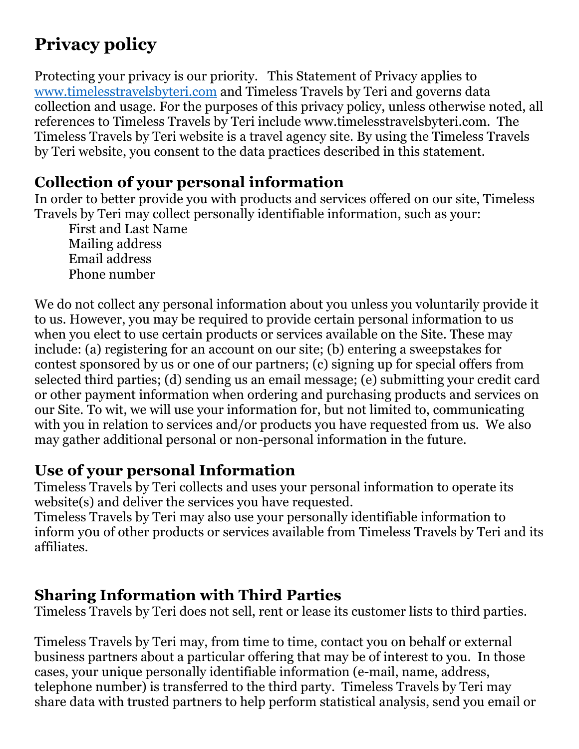# **Privacy policy**

Protecting your privacy is our priority. This Statement of Privacy applies to www.timelesstravelsbyteri.com and Timeless Travels by Teri and governs data collection and usage. For the purposes of this privacy policy, unless otherwise noted, all references to Timeless Travels by Teri include www.timelesstravelsbyteri.com. The Timeless Travels by Teri website is a travel agency site. By using the Timeless Travels by Teri website, you consent to the data practices described in this statement.

## **Collection of your personal information**

In order to better provide you with products and services offered on our site, Timeless Travels by Teri may collect personally identifiable information, such as your:

First and Last Name Mailing address Email address Phone number

We do not collect any personal information about you unless you voluntarily provide it to us. However, you may be required to provide certain personal information to us when you elect to use certain products or services available on the Site. These may include: (a) registering for an account on our site; (b) entering a sweepstakes for contest sponsored by us or one of our partners; (c) signing up for special offers from selected third parties; (d) sending us an email message; (e) submitting your credit card or other payment information when ordering and purchasing products and services on our Site. To wit, we will use your information for, but not limited to, communicating with you in relation to services and/or products you have requested from us. We also may gather additional personal or non-personal information in the future.

## **Use of your personal Information**

Timeless Travels by Teri collects and uses your personal information to operate its website(s) and deliver the services you have requested.

Timeless Travels by Teri may also use your personally identifiable information to inform y0u of other products or services available from Timeless Travels by Teri and its affiliates.

## **Sharing Information with Third Parties**

Timeless Travels by Teri does not sell, rent or lease its customer lists to third parties.

Timeless Travels by Teri may, from time to time, contact you on behalf or external business partners about a particular offering that may be of interest to you. In those cases, your unique personally identifiable information (e-mail, name, address, telephone number) is transferred to the third party. Timeless Travels by Teri may share data with trusted partners to help perform statistical analysis, send you email or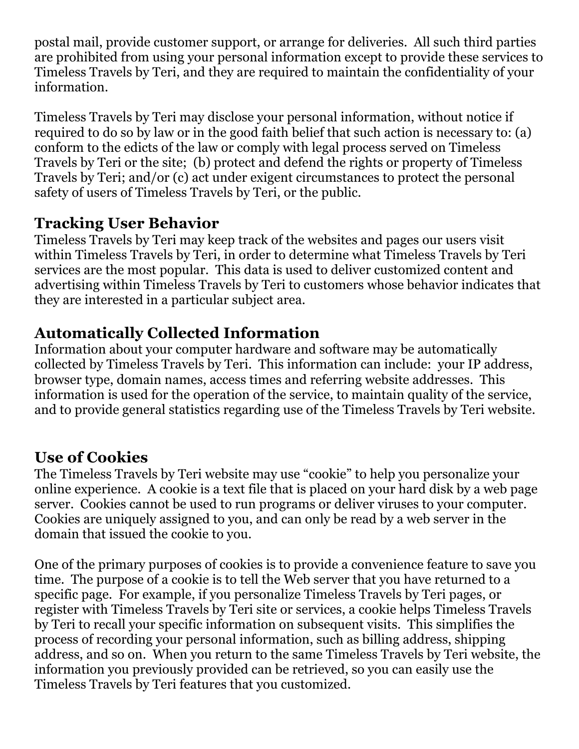postal mail, provide customer support, or arrange for deliveries. All such third parties are prohibited from using your personal information except to provide these services to Timeless Travels by Teri, and they are required to maintain the confidentiality of your information.

Timeless Travels by Teri may disclose your personal information, without notice if required to do so by law or in the good faith belief that such action is necessary to: (a) conform to the edicts of the law or comply with legal process served on Timeless Travels by Teri or the site; (b) protect and defend the rights or property of Timeless Travels by Teri; and/or (c) act under exigent circumstances to protect the personal safety of users of Timeless Travels by Teri, or the public.

#### **Tracking User Behavior**

Timeless Travels by Teri may keep track of the websites and pages our users visit within Timeless Travels by Teri, in order to determine what Timeless Travels by Teri services are the most popular. This data is used to deliver customized content and advertising within Timeless Travels by Teri to customers whose behavior indicates that they are interested in a particular subject area.

# **Automatically Collected Information**

Information about your computer hardware and software may be automatically collected by Timeless Travels by Teri. This information can include: your IP address, browser type, domain names, access times and referring website addresses. This information is used for the operation of the service, to maintain quality of the service, and to provide general statistics regarding use of the Timeless Travels by Teri website.

# **Use of Cookies**

The Timeless Travels by Teri website may use "cookie" to help you personalize your online experience. A cookie is a text file that is placed on your hard disk by a web page server. Cookies cannot be used to run programs or deliver viruses to your computer. Cookies are uniquely assigned to you, and can only be read by a web server in the domain that issued the cookie to you.

One of the primary purposes of cookies is to provide a convenience feature to save you time. The purpose of a cookie is to tell the Web server that you have returned to a specific page. For example, if you personalize Timeless Travels by Teri pages, or register with Timeless Travels by Teri site or services, a cookie helps Timeless Travels by Teri to recall your specific information on subsequent visits. This simplifies the process of recording your personal information, such as billing address, shipping address, and so on. When you return to the same Timeless Travels by Teri website, the information you previously provided can be retrieved, so you can easily use the Timeless Travels by Teri features that you customized.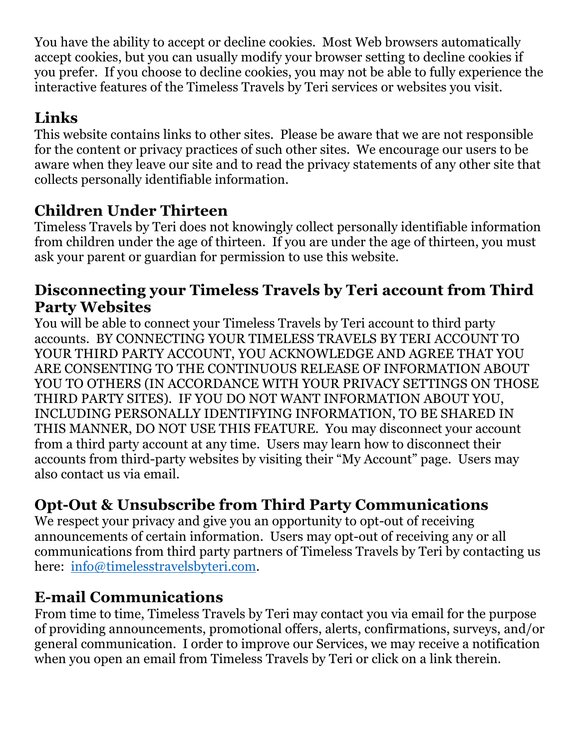You have the ability to accept or decline cookies. Most Web browsers automatically accept cookies, but you can usually modify your browser setting to decline cookies if you prefer. If you choose to decline cookies, you may not be able to fully experience the interactive features of the Timeless Travels by Teri services or websites you visit.

# **Links**

This website contains links to other sites. Please be aware that we are not responsible for the content or privacy practices of such other sites. We encourage our users to be aware when they leave our site and to read the privacy statements of any other site that collects personally identifiable information.

# **Children Under Thirteen**

Timeless Travels by Teri does not knowingly collect personally identifiable information from children under the age of thirteen. If you are under the age of thirteen, you must ask your parent or guardian for permission to use this website.

## **Disconnecting your Timeless Travels by Teri account from Third Party Websites**

You will be able to connect your Timeless Travels by Teri account to third party accounts. BY CONNECTING YOUR TIMELESS TRAVELS BY TERI ACCOUNT TO YOUR THIRD PARTY ACCOUNT, YOU ACKNOWLEDGE AND AGREE THAT YOU ARE CONSENTING TO THE CONTINUOUS RELEASE OF INFORMATION ABOUT YOU TO OTHERS (IN ACCORDANCE WITH YOUR PRIVACY SETTINGS ON THOSE THIRD PARTY SITES). IF YOU DO NOT WANT INFORMATION ABOUT YOU, INCLUDING PERSONALLY IDENTIFYING INFORMATION, TO BE SHARED IN THIS MANNER, DO NOT USE THIS FEATURE. You may disconnect your account from a third party account at any time. Users may learn how to disconnect their accounts from third-party websites by visiting their "My Account" page. Users may also contact us via email.

# **Opt-Out & Unsubscribe from Third Party Communications**

We respect your privacy and give you an opportunity to opt-out of receiving announcements of certain information. Users may opt-out of receiving any or all communications from third party partners of Timeless Travels by Teri by contacting us here: info@timelesstravelsbyteri.com.

## **E-mail Communications**

From time to time, Timeless Travels by Teri may contact you via email for the purpose of providing announcements, promotional offers, alerts, confirmations, surveys, and/or general communication. I order to improve our Services, we may receive a notification when you open an email from Timeless Travels by Teri or click on a link therein.